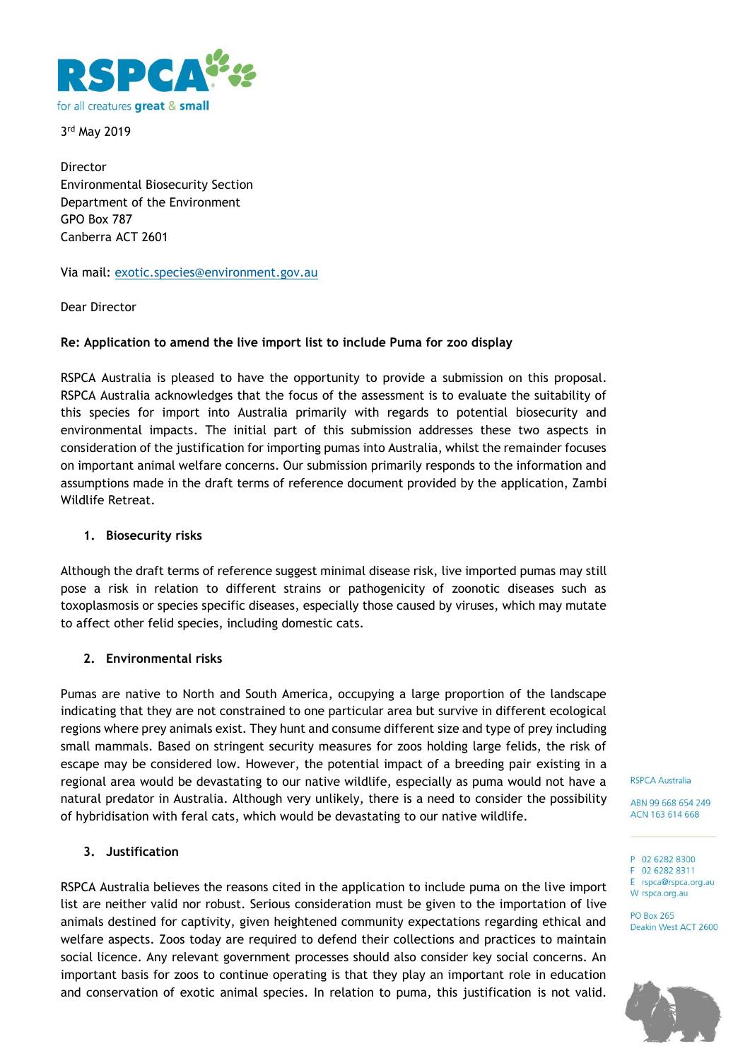

3 rd May 2019

Director Environmental Biosecurity Section Department of the Environment GPO Box 787 Canberra ACT 2601

Via mail: [exotic.species@environment.gov.au](mailto:exotic.species@environment.gov.au)

Dear Director

# **Re: Application to amend the live import list to include Puma for zoo display**

RSPCA Australia is pleased to have the opportunity to provide a submission on this proposal. RSPCA Australia acknowledges that the focus of the assessment is to evaluate the suitability of this species for import into Australia primarily with regards to potential biosecurity and environmental impacts. The initial part of this submission addresses these two aspects in consideration of the justification for importing pumas into Australia, whilst the remainder focuses on important animal welfare concerns. Our submission primarily responds to the information and assumptions made in the draft terms of reference document provided by the application, Zambi Wildlife Retreat.

# **1. Biosecurity risks**

Although the draft terms of reference suggest minimal disease risk, live imported pumas may still pose a risk in relation to different strains or pathogenicity of zoonotic diseases such as toxoplasmosis or species specific diseases, especially those caused by viruses, which may mutate to affect other felid species, including domestic cats.

# **2. Environmental risks**

Pumas are native to North and South America, occupying a large proportion of the landscape indicating that they are not constrained to one particular area but survive in different ecological regions where prey animals exist. They hunt and consume different size and type of prey including small mammals. Based on stringent security measures for zoos holding large felids, the risk of escape may be considered low. However, the potential impact of a breeding pair existing in a regional area would be devastating to our native wildlife, especially as puma would not have a natural predator in Australia. Although very unlikely, there is a need to consider the possibility of hybridisation with feral cats, which would be devastating to our native wildlife.

# **3. Justification**

RSPCA Australia believes the reasons cited in the application to include puma on the live import list are neither valid nor robust. Serious consideration must be given to the importation of live animals destined for captivity, given heightened community expectations regarding ethical and welfare aspects. Zoos today are required to defend their collections and practices to maintain social licence. Any relevant government processes should also consider key social concerns. An important basis for zoos to continue operating is that they play an important role in education and conservation of exotic animal species. In relation to puma, this justification is not valid.

**RSPCA Australia** 

ABN 99 668 654 249 ACN 163 614 668

P 02 6282 8300 F 02 6282 8311 E rspca@rspca.org.au W rspca.org.au

**PO Box 265** Deakin West ACT 2600